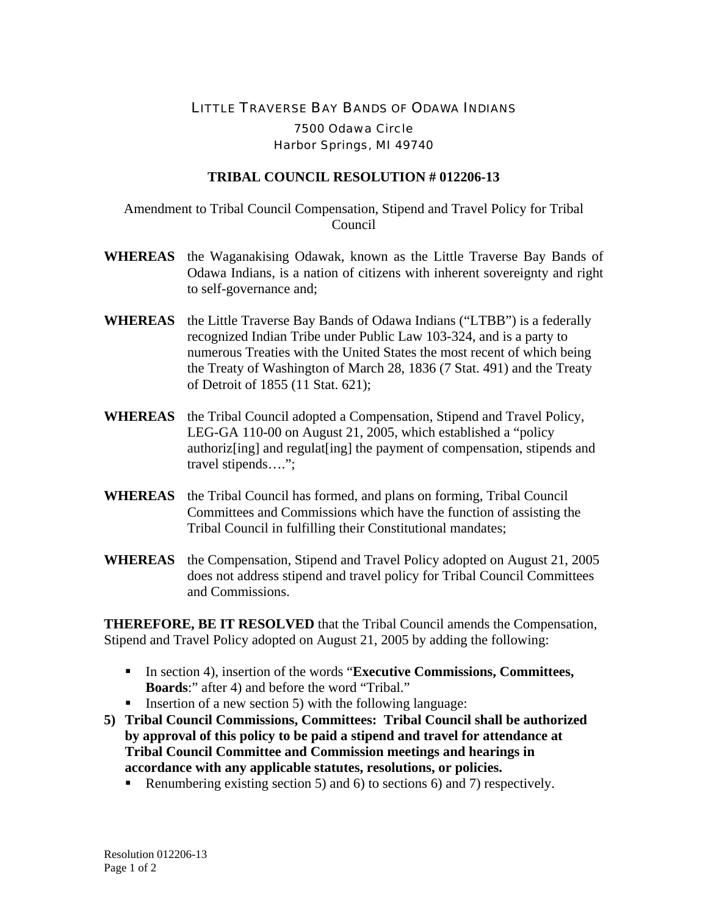## LITTLE TRAVERSE BAY BANDS OF ODAWA INDIANS 7500 Odawa Circle Harbor Springs, MI 49740

## **TRIBAL COUNCIL RESOLUTION # 012206-13**

Amendment to Tribal Council Compensation, Stipend and Travel Policy for Tribal Council

- **WHEREAS** the Waganakising Odawak, known as the Little Traverse Bay Bands of Odawa Indians, is a nation of citizens with inherent sovereignty and right to self-governance and;
- **WHEREAS** the Little Traverse Bay Bands of Odawa Indians ("LTBB") is a federally recognized Indian Tribe under Public Law 103-324, and is a party to numerous Treaties with the United States the most recent of which being the Treaty of Washington of March 28, 1836 (7 Stat. 491) and the Treaty of Detroit of 1855 (11 Stat. 621);
- **WHEREAS** the Tribal Council adopted a Compensation, Stipend and Travel Policy, LEG-GA 110-00 on August 21, 2005, which established a "policy authoriz[ing] and regulat[ing] the payment of compensation, stipends and travel stipends….";
- **WHEREAS** the Tribal Council has formed, and plans on forming, Tribal Council Committees and Commissions which have the function of assisting the Tribal Council in fulfilling their Constitutional mandates;
- **WHEREAS** the Compensation, Stipend and Travel Policy adopted on August 21, 2005 does not address stipend and travel policy for Tribal Council Committees and Commissions.

**THEREFORE, BE IT RESOLVED** that the Tribal Council amends the Compensation, Stipend and Travel Policy adopted on August 21, 2005 by adding the following:

- In section 4), insertion of the words "**Executive Commissions, Committees, Boards**:" after 4) and before the word "Tribal."
- **Insertion of a new section 5) with the following language:**
- **5) Tribal Council Commissions, Committees: Tribal Council shall be authorized by approval of this policy to be paid a stipend and travel for attendance at Tribal Council Committee and Commission meetings and hearings in accordance with any applicable statutes, resolutions, or policies.** 
	- Renumbering existing section 5) and 6) to sections 6) and 7) respectively.